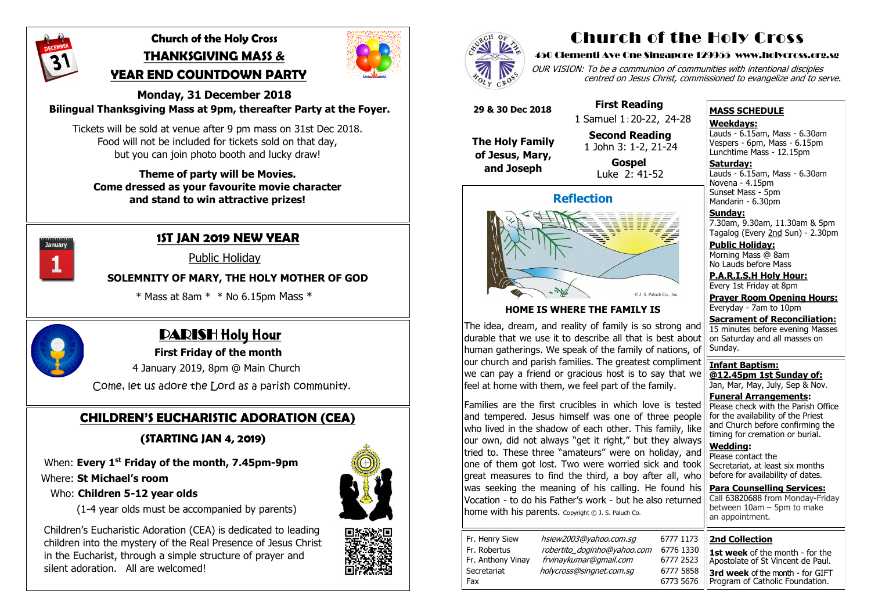

## **Church of the Holy Cross THANKSGIVING MASS & YEAR END COUNTDOWN PARTY**



#### **Monday, 31 December 2018 Bilingual Thanksgiving Mass at 9pm, thereafter Party at the Foyer.**

Tickets will be sold at venue after 9 pm mass on 31st Dec 2018. Food will not be included for tickets sold on that day, but you can join photo booth and lucky draw!

#### **Theme of party will be Movies. Come dressed as your favourite movie character and stand to win attractive prizes!**



 **First Friday of the month** 

4 January 2019, 8pm @ Main Church

Come, let us adore the Lord as a parish community.

## **1ST JAN 2019 NEW YEAR**

**Public Holiday** 

OUR VISION: To be a communion of communities with intentional disciples centred on Jesus Christ, commissioned to evangelize and to serve.

## **SOLEMNITY OF MARY, THE HOLY MOTHER OF GOD**

 $*$  Mass at 8am  $*$   $*$  No 6.15pm Mass  $*$ 



## **PARISH Holy Hour**

## **CHILDREN'S EUCHARISTIC ADORATION (CEA)**

 **(STARTING JAN 4, 2019)**

When: **Every 1st Friday of the month, 7.45pm-9pm**

## Where: **St Michael's room**

**Saturday:** Lauds - 6.15am, Mass - 6.30am Novena - 4.15pm Sunset Mass - 5pm Mandarin - 6.30pm

### Who: **Children 5-12 year olds**

(1-4 year olds must be accompanied by parents)

 Children's Eucharistic Adoration (CEA) is dedicated to leading children into the mystery of the Real Presence of Jesus Christ in the Eucharist, through a simple structure of prayer and silent adoration.All are welcomed!







# Church of the Holy Cross

#### 450 Clementi Ave One Singapore 129955 www.holycross.org.sg

| 6777 1173 |           |
|-----------|-----------|
|           | 6776 1330 |
| 6777 2523 |           |
| 6777 5858 |           |
| 6773 5676 |           |

Families are the first crucibles in which love is tested and tempered. Jesus himself was one of three people who lived in the shadow of each other. This family, like our own, did not always "get it right," but they always tried to. These three "amateurs" were on holiday, and one of them got lost. Two were worried sick and took great measures to find the third, a boy after all, who was seeking the meaning of his calling. He found his Vocation - to do his Father's work - but he also returned home with his parents. Copyright © J. S. Paluch Co.

| Fr. Henry Siew    | hsiew2003@yahoo.com.sq      | 6777 1173 |
|-------------------|-----------------------------|-----------|
| Fr. Robertus      | robertito_doginho@yahoo.com | 6776 1330 |
| Fr. Anthony Vinay | frvinaykumar@gmail.com      | 6777 2523 |
| Secretariat       | holycross@singnet.com.sg    | 6777 5858 |
| Fax               |                             | 6773 5676 |

#### **MASS SCHEDULE**

**Weekdays:**

Lauds - 6.15am, Mass - 6.30am Vespers - 6pm, Mass - 6.15pm Lunchtime Mass - 12.15pm

**Sunday:** 7.30am, 9.30am, 11.30am & 5pm Tagalog (Every 2nd Sun) - 2.30pm

**Public Holiday:**  Morning Mass @ 8am No Lauds before Mass

**P.A.R.I.S.H Holy Hour:** Every 1st Friday at 8pm

**Prayer Room Opening Hours:** Everyday - 7am to 10pm

**Sacrament of Reconciliation:** 15 minutes before evening Masses on Saturday and all masses on Sunday.

**Infant Baptism: @12.45pm 1st Sunday of:** Jan, Mar, May, July, Sep & Nov.

**Funeral Arrangements:**  Please check with the Parish Office for the availability of the Priest and Church before confirming the timing for cremation or burial.

**Wedding:**  Please contact the Secretariat, at least six months before for availability of dates.

**Para Counselling Services:** Call [63820688](tel:+6563820688) from Monday-Friday between 10am – 5pm to make

## **Reflection**



### **HOME IS WHERE THE FAMILY IS**

The idea, dream, and reality of family is so strong and durable that we use it to describe all that is best about human gatherings. We speak of the family of nations, of our church and parish families. The greatest compliment we can pay a friend or gracious host is to say that we feel at home with them, we feel part of the family.

|                                                          | between $10$ am $-$ 5pm to make<br>an appointment.                                                                                                                                 |
|----------------------------------------------------------|------------------------------------------------------------------------------------------------------------------------------------------------------------------------------------|
| 777 1173<br>776 1330<br>777 2523<br>777 5858<br>773 5676 | <b>2nd Collection</b><br><b>1st week</b> of the month - for the<br>Apostolate of St Vincent de Paul.<br><b>3rd week of the month - for GIFT</b><br>Program of Catholic Foundation. |
|                                                          |                                                                                                                                                                                    |

 **29 & 30 Dec 2018**

**The Holy Family of Jesus, Mary, and Joseph**

 **First Reading** 1 Samuel 1:20-22, 24-28

 **Second Reading** 1 John 3: 1-2, 21-24

 **Gospel** Luke 2: 41-52